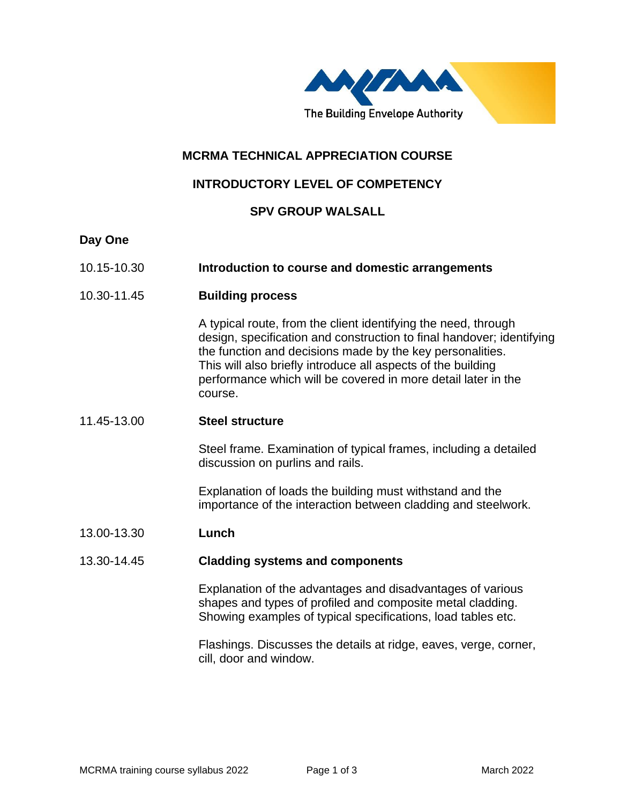

# **MCRMA TECHNICAL APPRECIATION COURSE**

# **INTRODUCTORY LEVEL OF COMPETENCY**

## **SPV GROUP WALSALL**

### **Day One**

- 10.15-10.30 **Introduction to course and domestic arrangements**
- 10.30-11.45 **Building process**

A typical route, from the client identifying the need, through design, specification and construction to final handover; identifying the function and decisions made by the key personalities. This will also briefly introduce all aspects of the building performance which will be covered in more detail later in the course.

#### 11.45-13.00 **Steel structure**

Steel frame. Examination of typical frames, including a detailed discussion on purlins and rails.

Explanation of loads the building must withstand and the importance of the interaction between cladding and steelwork.

#### 13.00-13.30 **Lunch**

#### 13.30-14.45 **Cladding systems and components**

Explanation of the advantages and disadvantages of various shapes and types of profiled and composite metal cladding. Showing examples of typical specifications, load tables etc.

Flashings. Discusses the details at ridge, eaves, verge, corner, cill, door and window.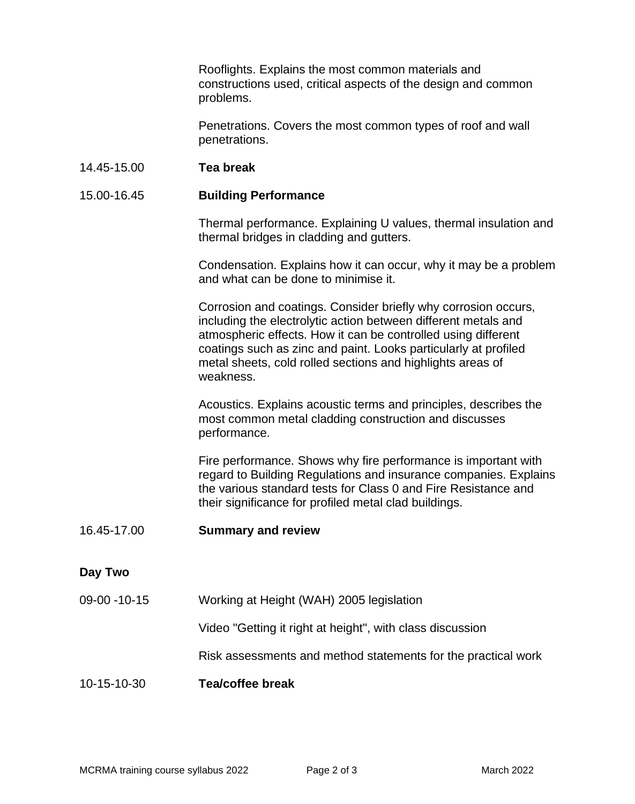Rooflights. Explains the most common materials and constructions used, critical aspects of the design and common problems.

Penetrations. Covers the most common types of roof and wall penetrations.

#### 14.45-15.00 **Tea break**

### 15.00-16.45 **Building Performance**

Thermal performance. Explaining U values, thermal insulation and thermal bridges in cladding and gutters.

Condensation. Explains how it can occur, why it may be a problem and what can be done to minimise it.

Corrosion and coatings. Consider briefly why corrosion occurs, including the electrolytic action between different metals and atmospheric effects. How it can be controlled using different coatings such as zinc and paint. Looks particularly at profiled metal sheets, cold rolled sections and highlights areas of weakness.

Acoustics. Explains acoustic terms and principles, describes the most common metal cladding construction and discusses performance.

Fire performance. Shows why fire performance is important with regard to Building Regulations and insurance companies. Explains the various standard tests for Class 0 and Fire Resistance and their significance for profiled metal clad buildings.

#### 16.45-17.00 **Summary and review**

## **Day Two**

09-00 -10-15 Working at Height (WAH) 2005 legislation

Video "Getting it right at height", with class discussion

Risk assessments and method statements for the practical work

## 10-15-10-30 **Tea/coffee break**